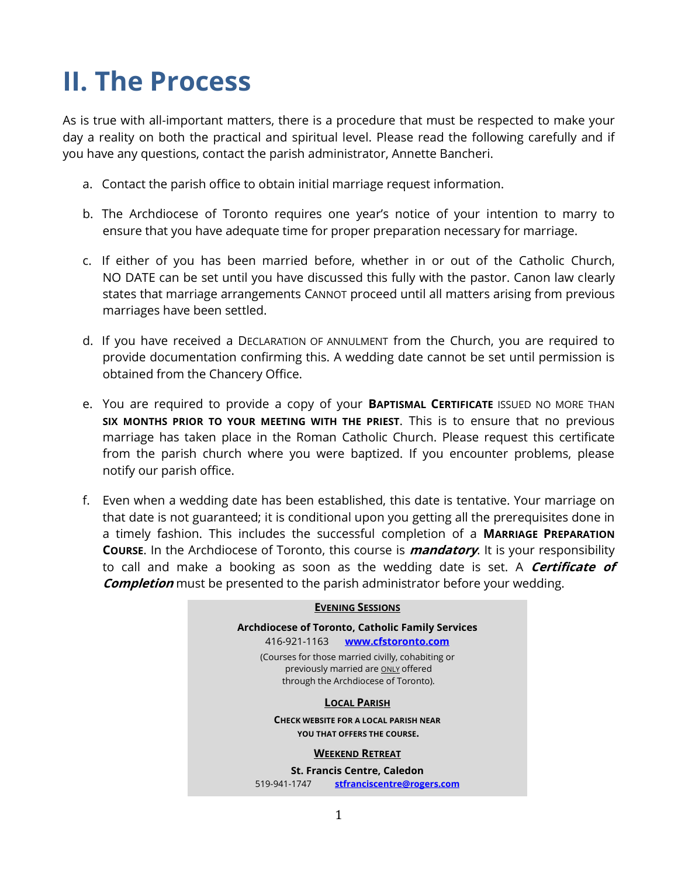# **II. The Process**

As is true with all-important matters, there is a procedure that must be respected to make your day a reality on both the practical and spiritual level. Please read the following carefully and if you have any questions, contact the parish administrator, Annette Bancheri.

- a. Contact the parish office to obtain initial marriage request information.
- b. The Archdiocese of Toronto requires one year's notice of your intention to marry to ensure that you have adequate time for proper preparation necessary for marriage.
- c. If either of you has been married before, whether in or out of the Catholic Church, NO DATE can be set until you have discussed this fully with the pastor. Canon law clearly states that marriage arrangements CANNOT proceed until all matters arising from previous marriages have been settled.
- d. If you have received a DECLARATION OF ANNULMENT from the Church, you are required to provide documentation confirming this. A wedding date cannot be set until permission is obtained from the Chancery Office.
- e. You are required to provide a copy of your **BAPTISMAL CERTIFICATE** ISSUED NO MORE THAN **SIX MONTHS PRIOR TO YOUR MEETING WITH THE PRIEST**. This is to ensure that no previous marriage has taken place in the Roman Catholic Church. Please request this certificate from the parish church where you were baptized. If you encounter problems, please notify our parish office.
- f. Even when a wedding date has been established, this date is tentative. Your marriage on that date is not guaranteed; it is conditional upon you getting all the prerequisites done in a timely fashion. This includes the successful completion of a **MARRIAGE PREPARATION COURSE**. In the Archdiocese of Toronto, this course is **mandatory**. It is your responsibility to call and make a booking as soon as the wedding date is set. A **Certificate of Completion** must be presented to the parish administrator before your wedding.

## **EVENING SESSIONS Archdiocese of Toronto, Catholic Family Services** 416-921-1163 **[www.cfstoronto.com](http://www.cfstoronto.com/)** (Courses for those married civilly, cohabiting or previously married are **ONLY** offered through the Archdiocese of Toronto). **LOCAL PARISH CHECK WEBSITE FOR A LOCAL PARISH NEAR YOU THAT OFFERS THE COURSE. WEEKEND RETREAT St. Francis Centre, Caledon**

519-941-1747 **[stfranciscentre@rogers.com](mailto:stfranciscentre@rogers.com)**